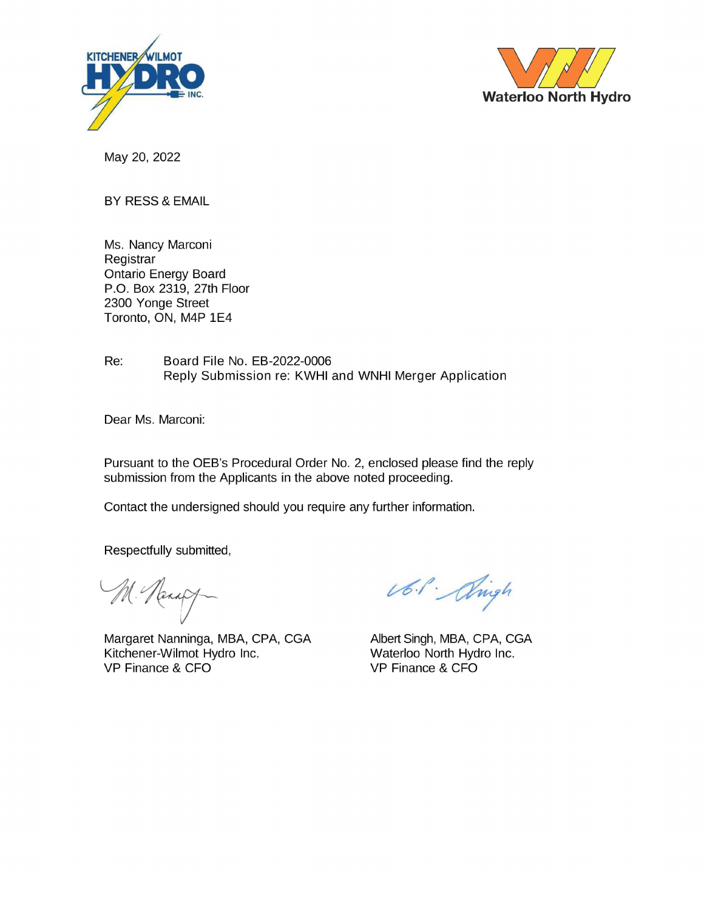



May 20, 2022

**BY RESS & EMAIL** 

Ms. Nancy Marconi Registrar **Ontario Energy Board** P.O. Box 2319, 27th Floor 2300 Yonge Street Toronto, ON, M4P 1E4

Re: Board File No. EB-2022-0006 Reply Submission re: KWHI and WNHI Merger Application

Dear Ms. Marconi:

Pursuant to the OEB's Procedural Order No. 2, enclosed please find the reply submission from the Applicants in the above noted proceeding.

Contact the undersigned should you require any further information.

Respectfully submitted,

M. Nanady

Margaret Nanninga, MBA, CPA, CGA Kitchener-Wilmot Hydro Inc. VP Finance & CFO

Ub.l. Alingh

Albert Singh, MBA, CPA, CGA Waterloo North Hydro Inc. VP Finance & CFO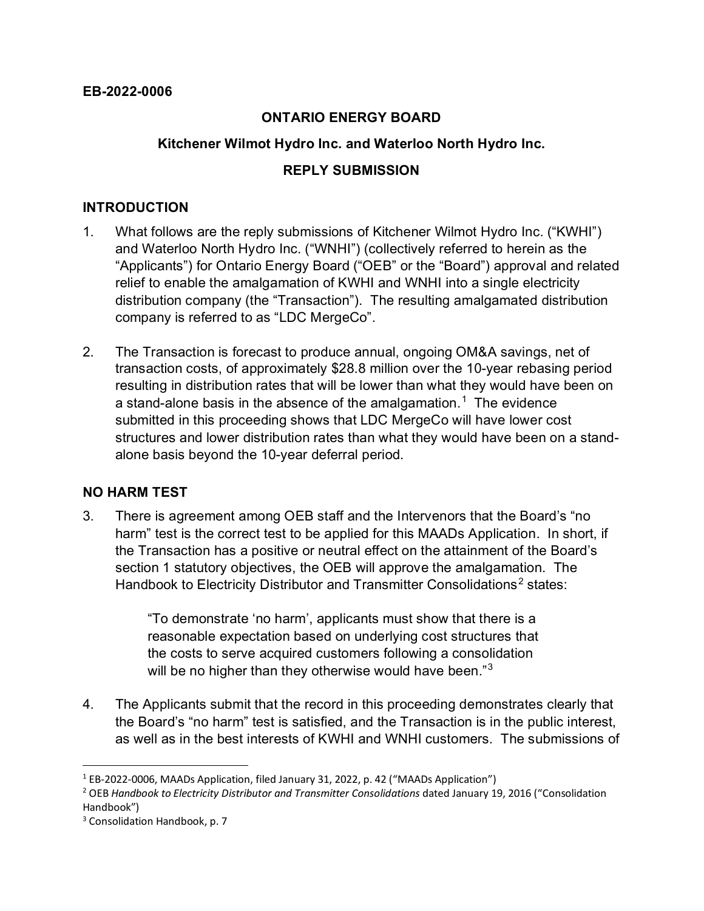### **ONTARIO ENERGY BOARD**

### **Kitchener Wilmot Hydro Inc. and Waterloo North Hydro Inc.**

### **REPLY SUBMISSION**

### **INTRODUCTION**

- 1. What follows are the reply submissions of Kitchener Wilmot Hydro Inc. ("KWHI") and Waterloo North Hydro Inc. ("WNHI") (collectively referred to herein as the "Applicants") for Ontario Energy Board ("OEB" or the "Board") approval and related relief to enable the amalgamation of KWHI and WNHI into a single electricity distribution company (the "Transaction"). The resulting amalgamated distribution company is referred to as "LDC MergeCo".
- 2. The Transaction is forecast to produce annual, ongoing OM&A savings, net of transaction costs, of approximately \$28.8 million over the 10-year rebasing period resulting in distribution rates that will be lower than what they would have been on a stand-alone basis in the absence of the amalgamation. $^\mathrm{1}\,$  $^\mathrm{1}\,$  $^\mathrm{1}\,$  The evidence submitted in this proceeding shows that LDC MergeCo will have lower cost structures and lower distribution rates than what they would have been on a standalone basis beyond the 10-year deferral period.

### **NO HARM TEST**

3. There is agreement among OEB staff and the Intervenors that the Board's "no harm" test is the correct test to be applied for this MAADs Application. In short, if the Transaction has a positive or neutral effect on the attainment of the Board's section 1 statutory objectives, the OEB will approve the amalgamation. The Handbook to Electricity Distributor and Transmitter Consolidations<sup>[2](#page-1-1)</sup> states:

> "To demonstrate 'no harm', applicants must show that there is a reasonable expectation based on underlying cost structures that the costs to serve acquired customers following a consolidation will be no higher than they otherwise would have been."<sup>[3](#page-1-2)</sup>

4. The Applicants submit that the record in this proceeding demonstrates clearly that the Board's "no harm" test is satisfied, and the Transaction is in the public interest, as well as in the best interests of KWHI and WNHI customers. The submissions of

<span id="page-1-0"></span><sup>1</sup> EB-2022-0006, MAADs Application, filed January 31, 2022, p. 42 ("MAADs Application")

<span id="page-1-1"></span><sup>2</sup> OEB *Handbook to Electricity Distributor and Transmitter Consolidations* dated January 19, 2016 ("Consolidation Handbook")

<span id="page-1-2"></span><sup>&</sup>lt;sup>3</sup> Consolidation Handbook, p. 7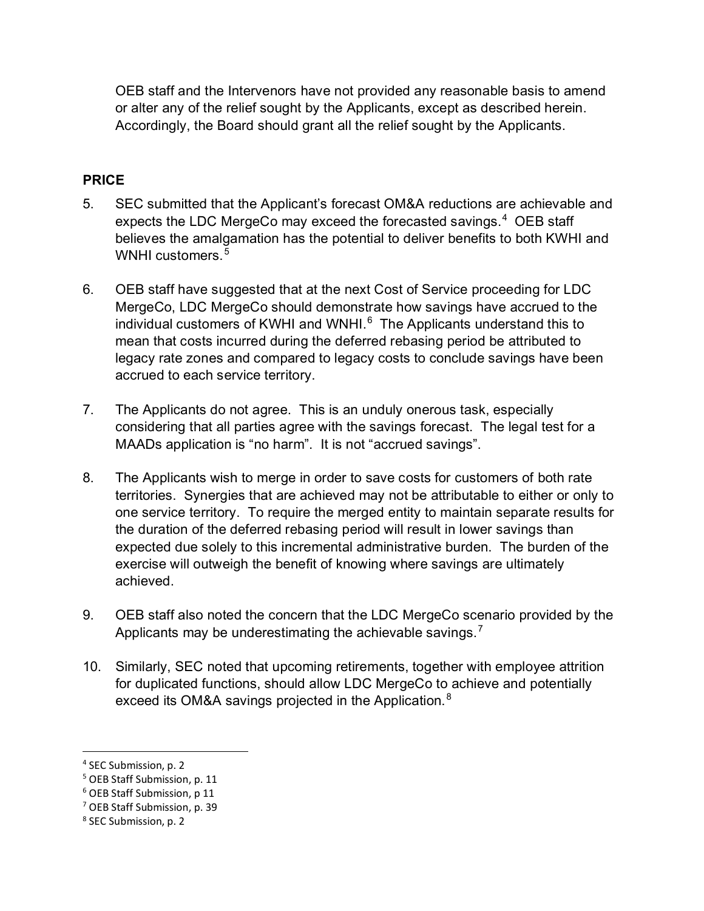OEB staff and the Intervenors have not provided any reasonable basis to amend or alter any of the relief sought by the Applicants, except as described herein. Accordingly, the Board should grant all the relief sought by the Applicants.

## **PRICE**

- 5. SEC submitted that the Applicant's forecast OM&A reductions are achievable and expects the LDC MergeCo may exceed the forecasted savings.<sup>[4](#page-2-0)</sup> OEB staff believes the amalgamation has the potential to deliver benefits to both KWHI and WNHI customers.<sup>[5](#page-2-1)</sup>
- 6. OEB staff have suggested that at the next Cost of Service proceeding for LDC MergeCo, LDC MergeCo should demonstrate how savings have accrued to the individual customers of KWHI and WNHI. $^6$  $^6$  The Applicants understand this to mean that costs incurred during the deferred rebasing period be attributed to legacy rate zones and compared to legacy costs to conclude savings have been accrued to each service territory.
- 7. The Applicants do not agree. This is an unduly onerous task, especially considering that all parties agree with the savings forecast. The legal test for a MAADs application is "no harm". It is not "accrued savings".
- 8. The Applicants wish to merge in order to save costs for customers of both rate territories. Synergies that are achieved may not be attributable to either or only to one service territory. To require the merged entity to maintain separate results for the duration of the deferred rebasing period will result in lower savings than expected due solely to this incremental administrative burden. The burden of the exercise will outweigh the benefit of knowing where savings are ultimately achieved.
- 9. OEB staff also noted the concern that the LDC MergeCo scenario provided by the Applicants may be underestimating the achievable savings.<sup>[7](#page-2-3)</sup>
- 10. Similarly, SEC noted that upcoming retirements, together with employee attrition for duplicated functions, should allow LDC MergeCo to achieve and potentially exceed its OM&A savings projected in the Application.<sup>[8](#page-2-4)</sup>

<span id="page-2-0"></span><sup>4</sup> SEC Submission, p. 2

<span id="page-2-1"></span><sup>5</sup> OEB Staff Submission, p. 11

<span id="page-2-2"></span><sup>6</sup> OEB Staff Submission, p 11

<span id="page-2-3"></span><sup>7</sup> OEB Staff Submission, p. 39

<span id="page-2-4"></span><sup>8</sup> SEC Submission, p. 2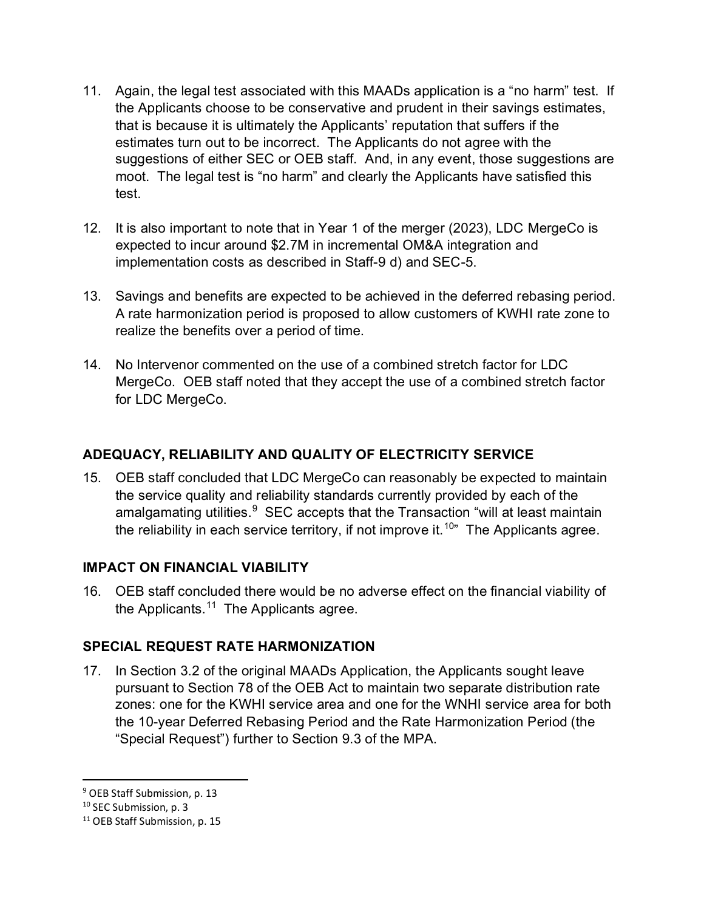- 11. Again, the legal test associated with this MAADs application is a "no harm" test. If the Applicants choose to be conservative and prudent in their savings estimates, that is because it is ultimately the Applicants' reputation that suffers if the estimates turn out to be incorrect. The Applicants do not agree with the suggestions of either SEC or OEB staff. And, in any event, those suggestions are moot. The legal test is "no harm" and clearly the Applicants have satisfied this test.
- 12. It is also important to note that in Year 1 of the merger (2023), LDC MergeCo is expected to incur around \$2.7M in incremental OM&A integration and implementation costs as described in Staff-9 d) and SEC-5.
- 13. Savings and benefits are expected to be achieved in the deferred rebasing period. A rate harmonization period is proposed to allow customers of KWHI rate zone to realize the benefits over a period of time.
- 14. No Intervenor commented on the use of a combined stretch factor for LDC MergeCo. OEB staff noted that they accept the use of a combined stretch factor for LDC MergeCo.

# **ADEQUACY, RELIABILITY AND QUALITY OF ELECTRICITY SERVICE**

15. OEB staff concluded that LDC MergeCo can reasonably be expected to maintain the service quality and reliability standards currently provided by each of the amalgamating utilities.<sup>[9](#page-3-0)</sup> SEC accepts that the Transaction "will at least maintain the reliability in each service territory, if not improve it.<sup>10</sup>" The Applicants agree.

### **IMPACT ON FINANCIAL VIABILITY**

16. OEB staff concluded there would be no adverse effect on the financial viability of the Applicants.<sup>[11](#page-3-2)</sup> The Applicants agree.

# **SPECIAL REQUEST RATE HARMONIZATION**

17. In Section 3.2 of the original MAADs Application, the Applicants sought leave pursuant to Section 78 of the OEB Act to maintain two separate distribution rate zones: one for the KWHI service area and one for the WNHI service area for both the 10-year Deferred Rebasing Period and the Rate Harmonization Period (the "Special Request") further to Section 9.3 of the MPA.

<span id="page-3-0"></span><sup>9</sup> OEB Staff Submission, p. 13

<span id="page-3-1"></span><sup>&</sup>lt;sup>10</sup> SEC Submission, p. 3

<span id="page-3-2"></span><sup>&</sup>lt;sup>11</sup> OEB Staff Submission, p. 15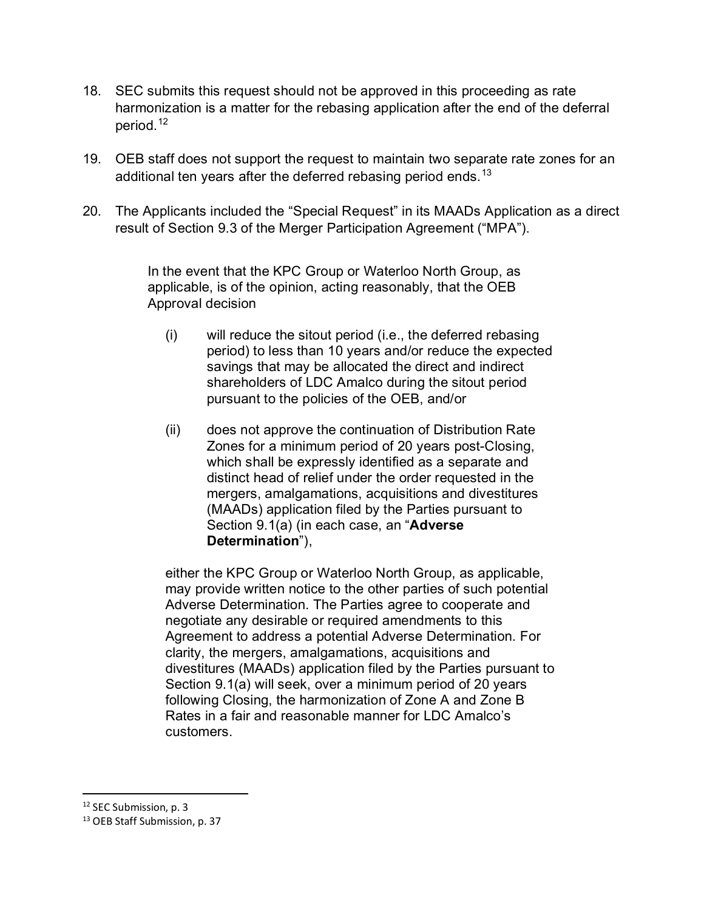- 18. SEC submits this request should not be approved in this proceeding as rate harmonization is a matter for the rebasing application after the end of the deferral period.<sup>[12](#page-4-0)</sup>
- 19. OEB staff does not support the request to maintain two separate rate zones for an additional ten years after the deferred rebasing period ends.<sup>[13](#page-4-1)</sup>
- 20. The Applicants included the "Special Request" in its MAADs Application as a direct result of Section 9.3 of the Merger Participation Agreement ("MPA").

In the event that the KPC Group or Waterloo North Group, as applicable, is of the opinion, acting reasonably, that the OEB Approval decision

- (i) will reduce the sitout period (i.e., the deferred rebasing period) to less than 10 years and/or reduce the expected savings that may be allocated the direct and indirect shareholders of LDC Amalco during the sitout period pursuant to the policies of the OEB, and/or
- (ii) does not approve the continuation of Distribution Rate Zones for a minimum period of 20 years post-Closing, which shall be expressly identified as a separate and distinct head of relief under the order requested in the mergers, amalgamations, acquisitions and divestitures (MAADs) application filed by the Parties pursuant to Section 9.1(a) (in each case, an "**Adverse Determination**"),

either the KPC Group or Waterloo North Group, as applicable, may provide written notice to the other parties of such potential Adverse Determination. The Parties agree to cooperate and negotiate any desirable or required amendments to this Agreement to address a potential Adverse Determination. For clarity, the mergers, amalgamations, acquisitions and divestitures (MAADs) application filed by the Parties pursuant to Section 9.1(a) will seek, over a minimum period of 20 years following Closing, the harmonization of Zone A and Zone B Rates in a fair and reasonable manner for LDC Amalco's customers.

<span id="page-4-0"></span><sup>&</sup>lt;sup>12</sup> SEC Submission, p. 3

<span id="page-4-1"></span><sup>&</sup>lt;sup>13</sup> OEB Staff Submission, p. 37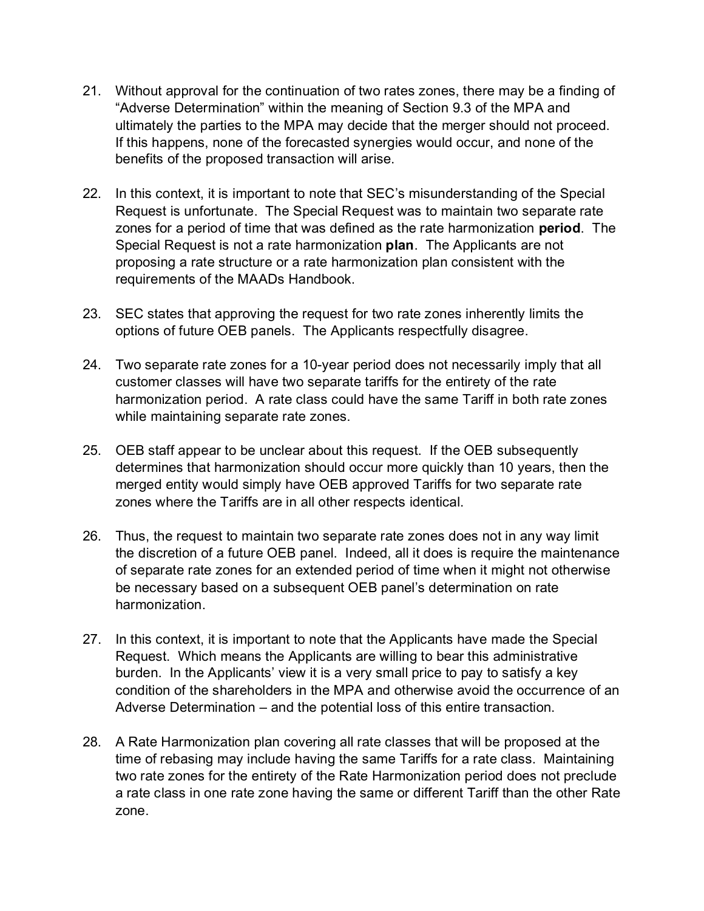- 21. Without approval for the continuation of two rates zones, there may be a finding of "Adverse Determination" within the meaning of Section 9.3 of the MPA and ultimately the parties to the MPA may decide that the merger should not proceed. If this happens, none of the forecasted synergies would occur, and none of the benefits of the proposed transaction will arise.
- 22. In this context, it is important to note that SEC's misunderstanding of the Special Request is unfortunate. The Special Request was to maintain two separate rate zones for a period of time that was defined as the rate harmonization **period**. The Special Request is not a rate harmonization **plan**. The Applicants are not proposing a rate structure or a rate harmonization plan consistent with the requirements of the MAADs Handbook.
- 23. SEC states that approving the request for two rate zones inherently limits the options of future OEB panels. The Applicants respectfully disagree.
- 24. Two separate rate zones for a 10-year period does not necessarily imply that all customer classes will have two separate tariffs for the entirety of the rate harmonization period. A rate class could have the same Tariff in both rate zones while maintaining separate rate zones.
- 25. OEB staff appear to be unclear about this request. If the OEB subsequently determines that harmonization should occur more quickly than 10 years, then the merged entity would simply have OEB approved Tariffs for two separate rate zones where the Tariffs are in all other respects identical.
- 26. Thus, the request to maintain two separate rate zones does not in any way limit the discretion of a future OEB panel. Indeed, all it does is require the maintenance of separate rate zones for an extended period of time when it might not otherwise be necessary based on a subsequent OEB panel's determination on rate harmonization.
- 27. In this context, it is important to note that the Applicants have made the Special Request. Which means the Applicants are willing to bear this administrative burden. In the Applicants' view it is a very small price to pay to satisfy a key condition of the shareholders in the MPA and otherwise avoid the occurrence of an Adverse Determination – and the potential loss of this entire transaction.
- 28. A Rate Harmonization plan covering all rate classes that will be proposed at the time of rebasing may include having the same Tariffs for a rate class. Maintaining two rate zones for the entirety of the Rate Harmonization period does not preclude a rate class in one rate zone having the same or different Tariff than the other Rate zone.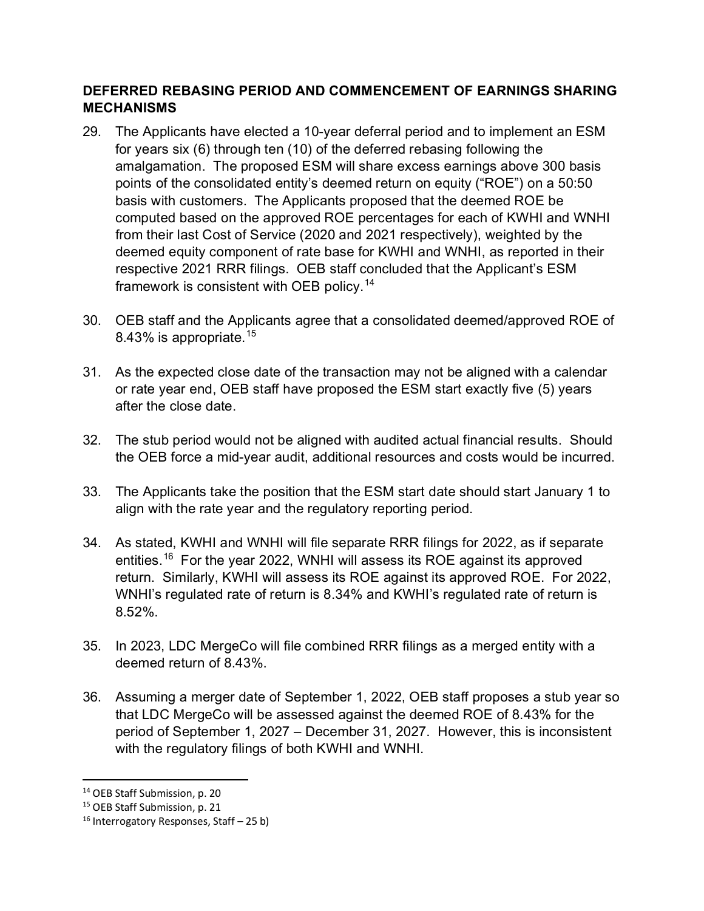## **DEFERRED REBASING PERIOD AND COMMENCEMENT OF EARNINGS SHARING MECHANISMS**

- 29. The Applicants have elected a 10-year deferral period and to implement an ESM for years six (6) through ten (10) of the deferred rebasing following the amalgamation. The proposed ESM will share excess earnings above 300 basis points of the consolidated entity's deemed return on equity ("ROE") on a 50:50 basis with customers. The Applicants proposed that the deemed ROE be computed based on the approved ROE percentages for each of KWHI and WNHI from their last Cost of Service (2020 and 2021 respectively), weighted by the deemed equity component of rate base for KWHI and WNHI, as reported in their respective 2021 RRR filings. OEB staff concluded that the Applicant's ESM framework is consistent with OEB policy.<sup>[14](#page-6-0)</sup>
- 30. OEB staff and the Applicants agree that a consolidated deemed/approved ROE of 8.43% is appropriate.<sup>[15](#page-6-1)</sup>
- 31. As the expected close date of the transaction may not be aligned with a calendar or rate year end, OEB staff have proposed the ESM start exactly five (5) years after the close date.
- 32. The stub period would not be aligned with audited actual financial results. Should the OEB force a mid-year audit, additional resources and costs would be incurred.
- 33. The Applicants take the position that the ESM start date should start January 1 to align with the rate year and the regulatory reporting period.
- 34. As stated, KWHI and WNHI will file separate RRR filings for 2022, as if separate entities.<sup>16</sup> For the year 2022, WNHI will assess its ROE against its approved return. Similarly, KWHI will assess its ROE against its approved ROE. For 2022, WNHI's regulated rate of return is 8.34% and KWHI's regulated rate of return is 8.52%.
- 35. In 2023, LDC MergeCo will file combined RRR filings as a merged entity with a deemed return of 8.43%.
- 36. Assuming a merger date of September 1, 2022, OEB staff proposes a stub year so that LDC MergeCo will be assessed against the deemed ROE of 8.43% for the period of September 1, 2027 – December 31, 2027. However, this is inconsistent with the regulatory filings of both KWHI and WNHI.

<span id="page-6-0"></span><sup>&</sup>lt;sup>14</sup> OEB Staff Submission, p. 20

<span id="page-6-1"></span><sup>&</sup>lt;sup>15</sup> OEB Staff Submission, p. 21

<span id="page-6-2"></span> $16$  Interrogatory Responses, Staff – 25 b)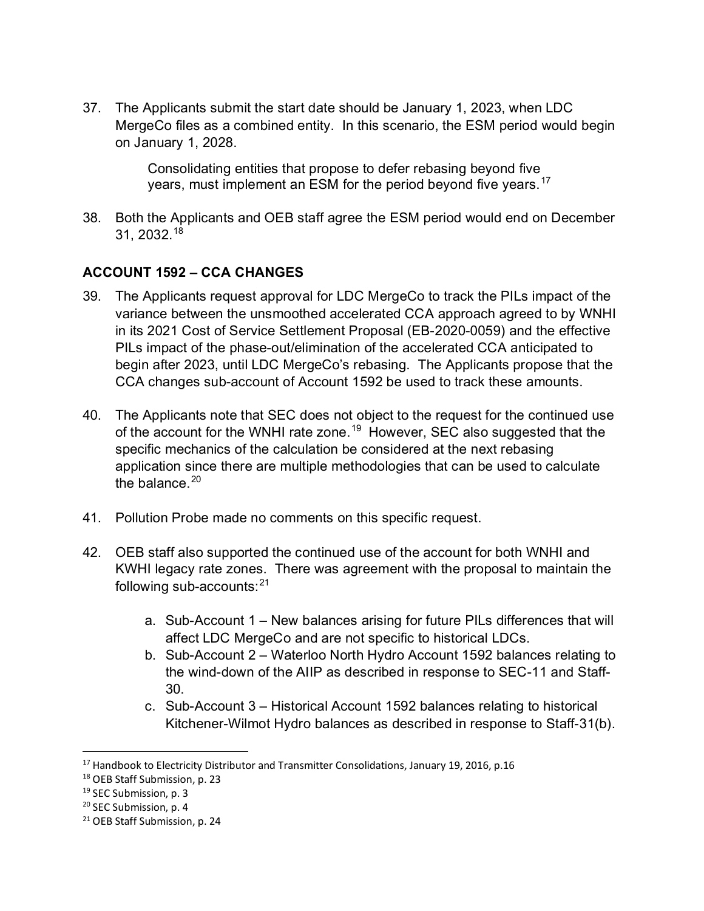37. The Applicants submit the start date should be January 1, 2023, when LDC MergeCo files as a combined entity. In this scenario, the ESM period would begin on January 1, 2028.

> Consolidating entities that propose to defer rebasing beyond five years, must implement an ESM for the period beyond five years.<sup>[17](#page-7-0)</sup>

38. Both the Applicants and OEB staff agree the ESM period would end on December 31, 2032. [18](#page-7-1)

# **ACCOUNT 1592 – CCA CHANGES**

- 39. The Applicants request approval for LDC MergeCo to track the PILs impact of the variance between the unsmoothed accelerated CCA approach agreed to by WNHI in its 2021 Cost of Service Settlement Proposal (EB-2020-0059) and the effective PILs impact of the phase-out/elimination of the accelerated CCA anticipated to begin after 2023, until LDC MergeCo's rebasing. The Applicants propose that the CCA changes sub-account of Account 1592 be used to track these amounts.
- 40. The Applicants note that SEC does not object to the request for the continued use of the account for the WNHI rate zone.<sup>[19](#page-7-2)</sup> However, SEC also suggested that the specific mechanics of the calculation be considered at the next rebasing application since there are multiple methodologies that can be used to calculate the balance. $20$
- 41. Pollution Probe made no comments on this specific request.
- 42. OEB staff also supported the continued use of the account for both WNHI and KWHI legacy rate zones. There was agreement with the proposal to maintain the following sub-accounts: $21$ 
	- a. Sub-Account 1 New balances arising for future PILs differences that will affect LDC MergeCo and are not specific to historical LDCs.
	- b. Sub-Account 2 Waterloo North Hydro Account 1592 balances relating to the wind-down of the AIIP as described in response to SEC-11 and Staff-30.
	- c. Sub-Account 3 Historical Account 1592 balances relating to historical Kitchener-Wilmot Hydro balances as described in response to Staff-31(b).

<span id="page-7-0"></span><sup>&</sup>lt;sup>17</sup> Handbook to Electricity Distributor and Transmitter Consolidations, January 19, 2016, p.16

<span id="page-7-1"></span><sup>18</sup> OEB Staff Submission, p. 23

<span id="page-7-2"></span><sup>&</sup>lt;sup>19</sup> SEC Submission, p. 3

<span id="page-7-3"></span><sup>&</sup>lt;sup>20</sup> SEC Submission, p. 4

<span id="page-7-4"></span><sup>&</sup>lt;sup>21</sup> OEB Staff Submission, p. 24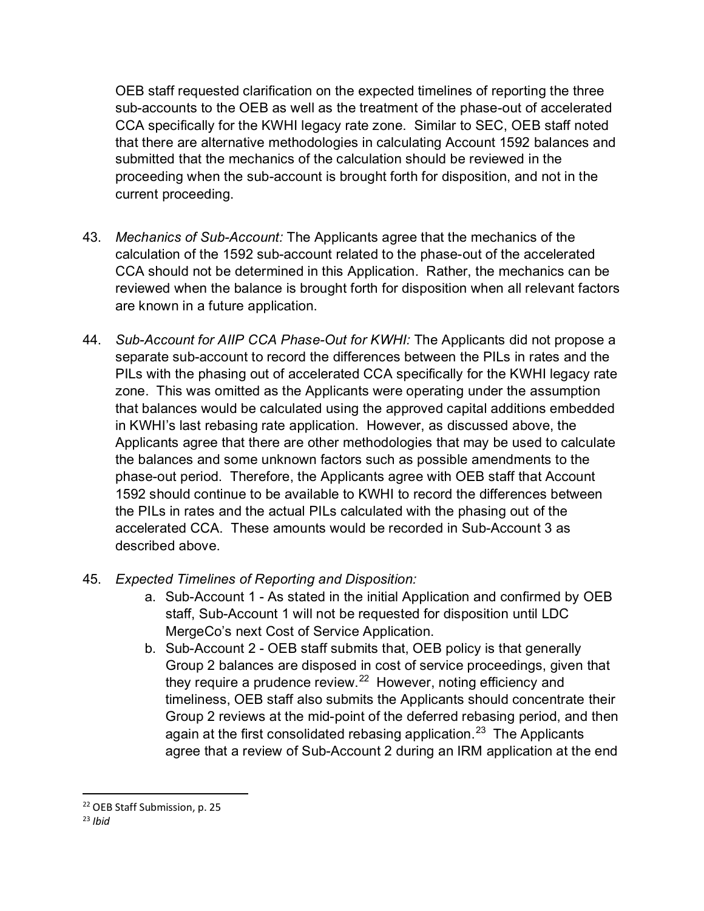OEB staff requested clarification on the expected timelines of reporting the three sub-accounts to the OEB as well as the treatment of the phase-out of accelerated CCA specifically for the KWHI legacy rate zone. Similar to SEC, OEB staff noted that there are alternative methodologies in calculating Account 1592 balances and submitted that the mechanics of the calculation should be reviewed in the proceeding when the sub-account is brought forth for disposition, and not in the current proceeding.

- 43. *Mechanics of Sub-Account:* The Applicants agree that the mechanics of the calculation of the 1592 sub-account related to the phase-out of the accelerated CCA should not be determined in this Application. Rather, the mechanics can be reviewed when the balance is brought forth for disposition when all relevant factors are known in a future application.
- 44. *Sub-Account for AIIP CCA Phase-Out for KWHI:* The Applicants did not propose a separate sub-account to record the differences between the PILs in rates and the PILs with the phasing out of accelerated CCA specifically for the KWHI legacy rate zone. This was omitted as the Applicants were operating under the assumption that balances would be calculated using the approved capital additions embedded in KWHI's last rebasing rate application. However, as discussed above, the Applicants agree that there are other methodologies that may be used to calculate the balances and some unknown factors such as possible amendments to the phase-out period. Therefore, the Applicants agree with OEB staff that Account 1592 should continue to be available to KWHI to record the differences between the PILs in rates and the actual PILs calculated with the phasing out of the accelerated CCA. These amounts would be recorded in Sub-Account 3 as described above.
- 45. *Expected Timelines of Reporting and Disposition:*
	- a. Sub-Account 1 As stated in the initial Application and confirmed by OEB staff, Sub-Account 1 will not be requested for disposition until LDC MergeCo's next Cost of Service Application.
	- b. Sub-Account 2 OEB staff submits that, OEB policy is that generally Group 2 balances are disposed in cost of service proceedings, given that they require a prudence review. [22](#page-8-0) However, noting efficiency and timeliness, OEB staff also submits the Applicants should concentrate their Group 2 reviews at the mid-point of the deferred rebasing period, and then again at the first consolidated rebasing application.<sup>[23](#page-8-1)</sup> The Applicants agree that a review of Sub-Account 2 during an IRM application at the end

<span id="page-8-1"></span><span id="page-8-0"></span><sup>22</sup> OEB Staff Submission, p. 25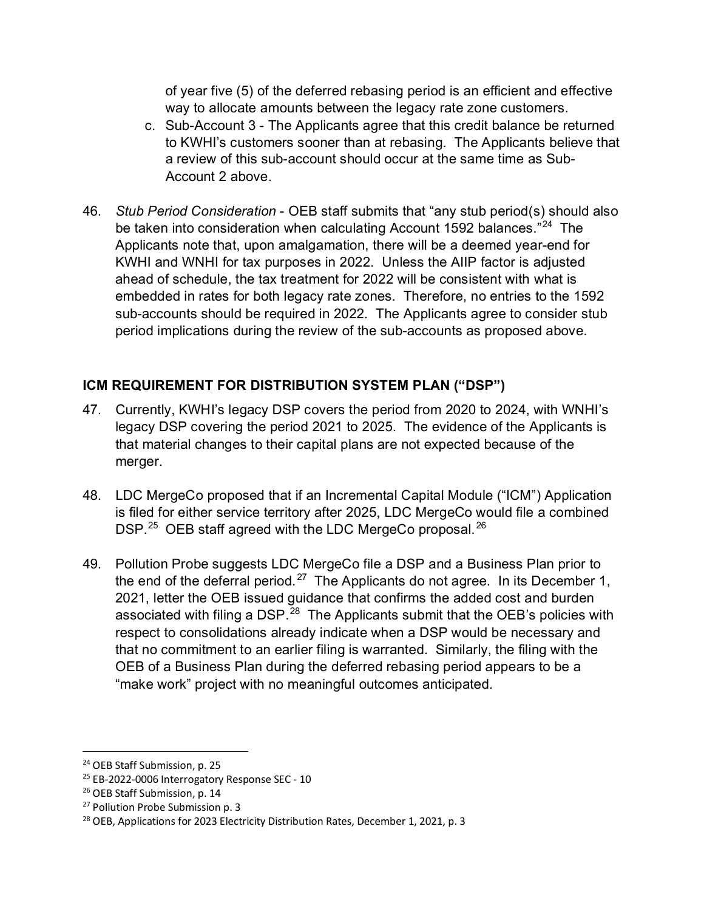of year five (5) of the deferred rebasing period is an efficient and effective way to allocate amounts between the legacy rate zone customers.

- c. Sub-Account 3 The Applicants agree that this credit balance be returned to KWHI's customers sooner than at rebasing. The Applicants believe that a review of this sub-account should occur at the same time as Sub-Account 2 above.
- 46. *Stub Period Consideration* OEB staff submits that "any stub period(s) should also be taken into consideration when calculating Account 1592 balances."<sup>[24](#page-9-0)</sup> The Applicants note that, upon amalgamation, there will be a deemed year-end for KWHI and WNHI for tax purposes in 2022. Unless the AIIP factor is adjusted ahead of schedule, the tax treatment for 2022 will be consistent with what is embedded in rates for both legacy rate zones. Therefore, no entries to the 1592 sub-accounts should be required in 2022. The Applicants agree to consider stub period implications during the review of the sub-accounts as proposed above.

# **ICM REQUIREMENT FOR DISTRIBUTION SYSTEM PLAN ("DSP")**

- 47. Currently, KWHI's legacy DSP covers the period from 2020 to 2024, with WNHI's legacy DSP covering the period 2021 to 2025. The evidence of the Applicants is that material changes to their capital plans are not expected because of the merger.
- 48. LDC MergeCo proposed that if an Incremental Capital Module ("ICM") Application is filed for either service territory after 2025, LDC MergeCo would file a combined DSP. $^{25}$  OEB staff agreed with the LDC MergeCo proposal.  $^{26}$  $^{26}$  $^{26}$
- 49. Pollution Probe suggests LDC MergeCo file a DSP and a Business Plan prior to the end of the deferral period.<sup>[27](#page-9-3)</sup> The Applicants do not agree. In its December 1, 2021, letter the OEB issued guidance that confirms the added cost and burden associated with filing a DSP.<sup>[28](#page-9-4)</sup> The Applicants submit that the OEB's policies with respect to consolidations already indicate when a DSP would be necessary and that no commitment to an earlier filing is warranted. Similarly, the filing with the OEB of a Business Plan during the deferred rebasing period appears to be a "make work" project with no meaningful outcomes anticipated.

<span id="page-9-0"></span><sup>&</sup>lt;sup>24</sup> OEB Staff Submission, p. 25

<span id="page-9-1"></span><sup>25</sup> EB-2022-0006 Interrogatory Response SEC - 10

<span id="page-9-2"></span><sup>&</sup>lt;sup>26</sup> OEB Staff Submission, p. 14

<span id="page-9-3"></span><sup>&</sup>lt;sup>27</sup> Pollution Probe Submission p. 3

<span id="page-9-4"></span><sup>&</sup>lt;sup>28</sup> OEB, Applications for 2023 Electricity Distribution Rates, December 1, 2021, p. 3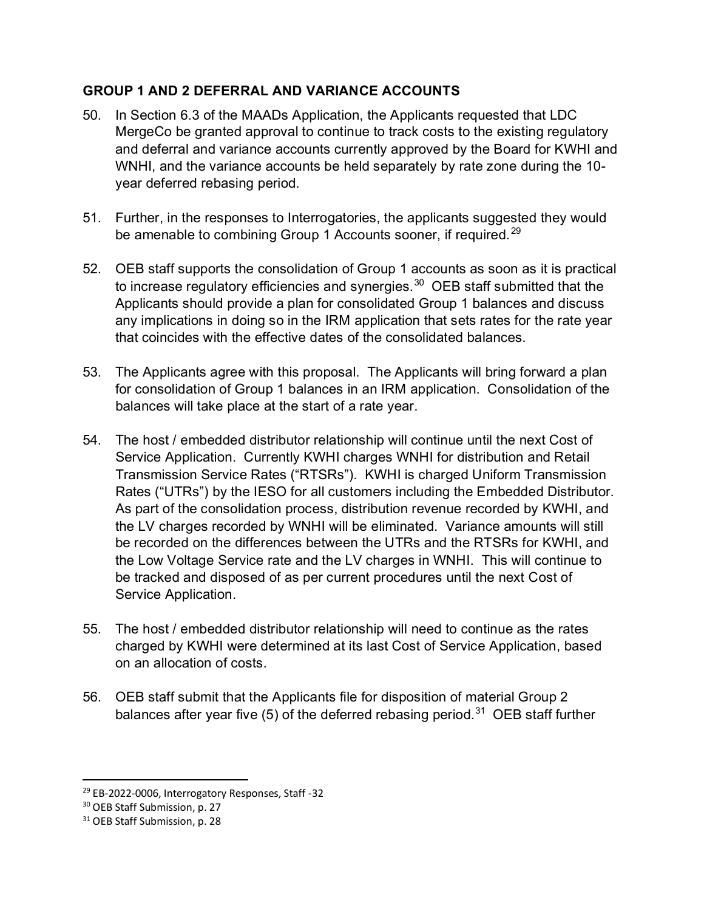# **GROUP 1 AND 2 DEFERRAL AND VARIANCE ACCOUNTS**

- 50. In Section 6.3 of the MAADs Application, the Applicants requested that LDC MergeCo be granted approval to continue to track costs to the existing regulatory and deferral and variance accounts currently approved by the Board for KWHI and WNHI, and the variance accounts be held separately by rate zone during the 10 year deferred rebasing period.
- 51. Further, in the responses to Interrogatories, the applicants suggested they would be amenable to combining Group 1 Accounts sooner, if required.<sup>[29](#page-10-0)</sup>
- 52. OEB staff supports the consolidation of Group 1 accounts as soon as it is practical to increase regulatory efficiencies and synergies. $30$  OEB staff submitted that the Applicants should provide a plan for consolidated Group 1 balances and discuss any implications in doing so in the IRM application that sets rates for the rate year that coincides with the effective dates of the consolidated balances.
- 53. The Applicants agree with this proposal. The Applicants will bring forward a plan for consolidation of Group 1 balances in an IRM application. Consolidation of the balances will take place at the start of a rate year.
- 54. The host / embedded distributor relationship will continue until the next Cost of Service Application. Currently KWHI charges WNHI for distribution and Retail Transmission Service Rates ("RTSRs"). KWHI is charged Uniform Transmission Rates ("UTRs") by the IESO for all customers including the Embedded Distributor. As part of the consolidation process, distribution revenue recorded by KWHI, and the LV charges recorded by WNHI will be eliminated. Variance amounts will still be recorded on the differences between the UTRs and the RTSRs for KWHI, and the Low Voltage Service rate and the LV charges in WNHI. This will continue to be tracked and disposed of as per current procedures until the next Cost of Service Application.
- 55. The host / embedded distributor relationship will need to continue as the rates charged by KWHI were determined at its last Cost of Service Application, based on an allocation of costs.
- 56. OEB staff submit that the Applicants file for disposition of material Group 2 balances after year five (5) of the deferred rebasing period.<sup>[31](#page-10-2)</sup> OEB staff further

<span id="page-10-0"></span><sup>&</sup>lt;sup>29</sup> EB-2022-0006, Interrogatory Responses, Staff -32

<span id="page-10-1"></span><sup>&</sup>lt;sup>30</sup> OEB Staff Submission, p. 27

<span id="page-10-2"></span><sup>&</sup>lt;sup>31</sup> OEB Staff Submission, p. 28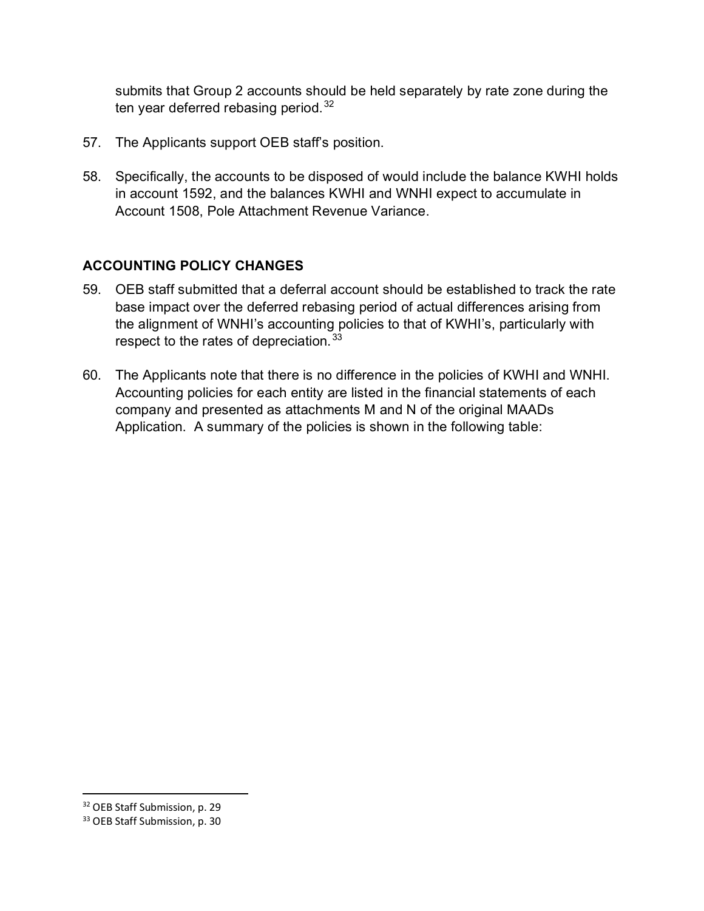submits that Group 2 accounts should be held separately by rate zone during the ten year deferred rebasing period.<sup>[32](#page-11-0)</sup>

- 57. The Applicants support OEB staff's position.
- 58. Specifically, the accounts to be disposed of would include the balance KWHI holds in account 1592, and the balances KWHI and WNHI expect to accumulate in Account 1508, Pole Attachment Revenue Variance.

# **ACCOUNTING POLICY CHANGES**

- 59. OEB staff submitted that a deferral account should be established to track the rate base impact over the deferred rebasing period of actual differences arising from the alignment of WNHI's accounting policies to that of KWHI's, particularly with respect to the rates of depreciation.<sup>[33](#page-11-1)</sup>
- 60. The Applicants note that there is no difference in the policies of KWHI and WNHI. Accounting policies for each entity are listed in the financial statements of each company and presented as attachments M and N of the original MAADs Application. A summary of the policies is shown in the following table:

<span id="page-11-0"></span><sup>32</sup> OEB Staff Submission, p. 29

<span id="page-11-1"></span><sup>33</sup> OEB Staff Submission, p. 30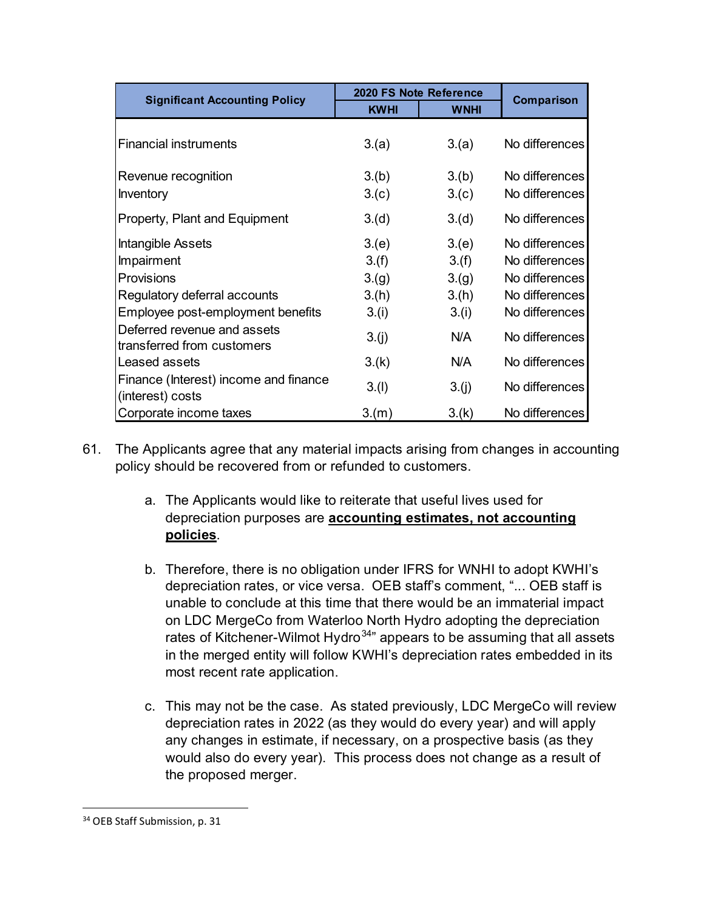| <b>Significant Accounting Policy</b>  | 2020 FS Note Reference |             | Comparison     |
|---------------------------------------|------------------------|-------------|----------------|
|                                       | <b>KWHI</b>            | <b>WNHI</b> |                |
|                                       |                        |             |                |
| <b>Financial instruments</b>          | 3(a)                   | 3(a)        | No differences |
|                                       |                        |             |                |
| Revenue recognition                   | 3.(b)                  | 3.(b)       | No differences |
| Inventory                             | 3.(c)                  | 3.(c)       | No differences |
| Property, Plant and Equipment         | 3.(d)                  | 3.(d)       | No differences |
| Intangible Assets                     | 3(e)                   | 3(e)        | No differences |
| Impairment                            | 3.(f)                  | 3.(f)       | No differences |
| Provisions                            | 3.(g)                  | 3.(g)       | No differences |
| Regulatory deferral accounts          | 3.(h)                  | 3.(h)       | No differences |
| Employee post-employment benefits     | 3.(i)                  | 3.(i)       | No differences |
| Deferred revenue and assets           | 3.(j)                  | N/A         | No differences |
| transferred from customers            |                        |             |                |
| Leased assets                         | 3.(k)                  | N/A         | No differences |
| Finance (Interest) income and finance | 3.(1)                  | 3.(j)       | No differences |
| (interest) costs                      |                        |             |                |
| Corporate income taxes                | 3(m)                   | 3.(k)       | No differences |

- 61. The Applicants agree that any material impacts arising from changes in accounting policy should be recovered from or refunded to customers.
	- a. The Applicants would like to reiterate that useful lives used for depreciation purposes are **accounting estimates, not accounting policies**.
	- b. Therefore, there is no obligation under IFRS for WNHI to adopt KWHI's depreciation rates, or vice versa. OEB staff's comment, "... OEB staff is unable to conclude at this time that there would be an immaterial impact on LDC MergeCo from Waterloo North Hydro adopting the depreciation rates of Kitchener-Wilmot Hydro<sup>[34](#page-12-0)</sup>" appears to be assuming that all assets in the merged entity will follow KWHI's depreciation rates embedded in its most recent rate application.
	- c. This may not be the case. As stated previously, LDC MergeCo will review depreciation rates in 2022 (as they would do every year) and will apply any changes in estimate, if necessary, on a prospective basis (as they would also do every year). This process does not change as a result of the proposed merger.

<span id="page-12-0"></span><sup>&</sup>lt;sup>34</sup> OEB Staff Submission, p. 31